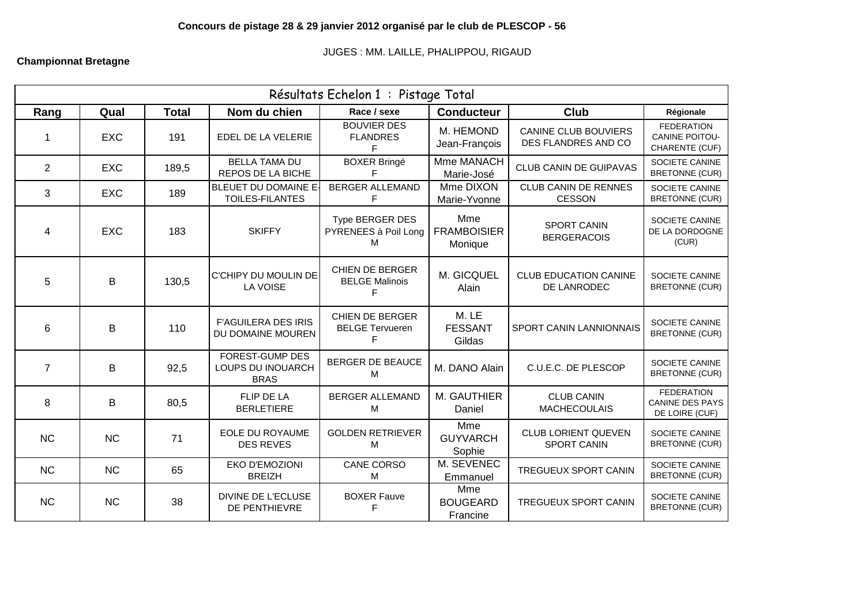JUGES : MM. LAILLE, PHALIPPOU, RIGAUD

## **Championnat Bretagne**

**Rang Qual Total Nom du chien Race / sexe Conducteur Club Régionale** 1 **EXC 1** 191 EDEL DE LA VELERIE BOUVIER DES FLANDRES F M. HEMOND Jean-François CANINE CLUB BOUVIERS DES FLANDRES AND CO FEDERATION CANINE POITOU-CHARENTE (CUF) 2 EXC 189.5 BELLA TAMA DU REPOS DE LA BICHE BOXER Bringé F Mme MANACH me MANACH | CLUB CANIN DE GUIPAVAS | SOCIETE CANINE<br>Marie-José | CLUB CANIN DE GUIPAVAS | BRETONNE (CUR) BRETONNE (CUR) 3 EXC 189 BLEUET DU DOMAINE E TOILES-FILANTES BERGER ALLEMAND F Mme DIXON Marie-Yvonne CLUB CANIN DE RENNES CESSON SOCIETE CANINE BRETONNE (CUR) 4 | EXC | 183 | SKIFFY Type BERGER DES PYRENEES à Poil Long FRAMBOISIER M Mme Monique SPORT CANIN **BERGERACOIS** SOCIETE CANINE DE LA DORDOGNE (CUR) 5 B 130.5 C'CHIPY DU MOULIN DE LA VOISE CHIEN DE BERGER BELGE Malinois F M. GICQUEL Alain CLUB EDUCATION CANINE DE LANRODEC SOCIETE CANINE BRETONNE (CUR) 6 B 110 FAGUILERA DES IRIS DU DOMAINE MOUREN CHIEN DE BERGER BELGE Tervueren F M. LE FESSANT Gildas SPORT CANIN LANNIONNAIS SOCIETE CANINE BRETONNE (CUR) 7 B 92.5 FOREST-GUMP DES LOUPS DU INOUARCH BRAS BERGER DE BEAUCE M M. DANO Alain C.U.E.C. DE PLESCOP SOCIETE CANINE BRETONNE (CUR) 8 B 80.5 FLIP DE LA BERLETIERE BERGER ALLEMAND M M. GAUTHIER Daniel CLUB CANIN **MACHECOULAIS** FEDERATION CANINE DES PAYS DE LOIRE (CUF) NC NC 71 EOLE DU ROYAUME DES REVES GOLDEN RETRIEVER M Mme GUYVARCH Sophie CLUB LORIENT QUEVEN SPORT CANIN SOCIETE CANINE BRETONNE (CUR) NC NC 65 EKO D'EMOZIONI BREIZH CANE CORSO M M. SEVENEC 1. SEVENEC TREGUEUX SPORT CANIN SOCIETE CANINE<br>Emmanuel TREGUEUX SPORT CANIN BRETONNE (CUR) BRETONNE (CUR) NC NC 38 DIVINE DE L'ECLUSE DE PENTHIEVRE BOXER Fauve F Mme BOUGEARD Francine TREGUEUX SPORT CANIN SOCIETE CANINE BRETONNE (CUR) Résultats Echelon 1 : Pistage Total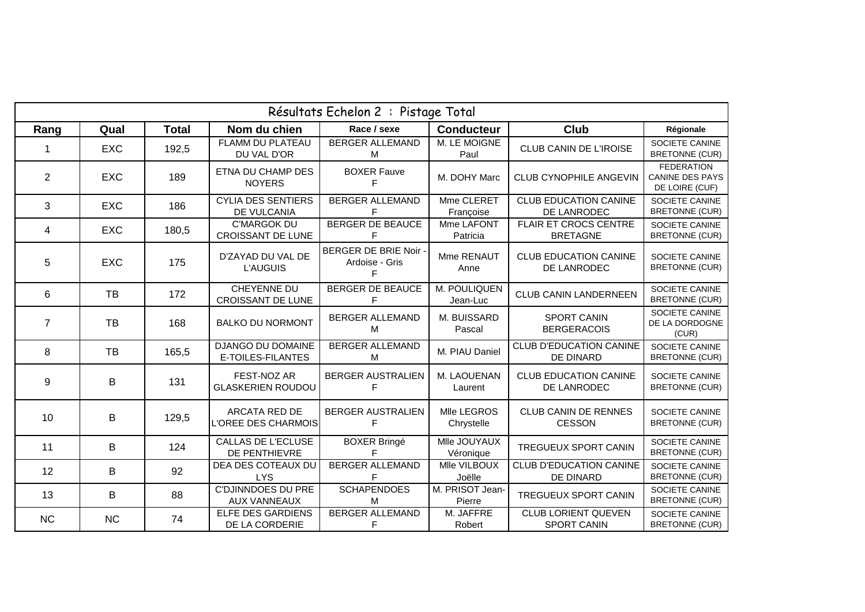| Résultats Echelon 2 : Pistage Total |            |              |                                                  |                                            |                           |                                                  |                                                               |  |  |  |  |
|-------------------------------------|------------|--------------|--------------------------------------------------|--------------------------------------------|---------------------------|--------------------------------------------------|---------------------------------------------------------------|--|--|--|--|
| Rang                                | Qual       | <b>Total</b> | Nom du chien                                     | Race / sexe                                | <b>Conducteur</b>         | <b>Club</b>                                      | Régionale                                                     |  |  |  |  |
|                                     | <b>EXC</b> | 192,5        | FLAMM DU PLATEAU<br>DU VAL D'OR                  | <b>BERGER ALLEMAND</b><br>M                | M. LE MOIGNE<br>Paul      | CLUB CANIN DE L'IROISE                           | SOCIETE CANINE<br><b>BRETONNE (CUR)</b>                       |  |  |  |  |
| $\overline{2}$                      | <b>EXC</b> | 189          | ETNA DU CHAMP DES<br><b>NOYERS</b>               | <b>BOXER Fauve</b><br>F                    | M. DOHY Marc              | CLUB CYNOPHILE ANGEVIN                           | <b>FEDERATION</b><br><b>CANINE DES PAYS</b><br>DE LOIRE (CUF) |  |  |  |  |
| 3                                   | <b>EXC</b> | 186          | <b>CYLIA DES SENTIERS</b><br>DE VULCANIA         | <b>BERGER ALLEMAND</b><br>F                | Mme CLERET<br>Françoise   | <b>CLUB EDUCATION CANINE</b><br>DE LANRODEC      | SOCIETE CANINE<br><b>BRETONNE (CUR)</b>                       |  |  |  |  |
| 4                                   | <b>EXC</b> | 180,5        | <b>C'MARGOK DU</b><br>CROISSANT DE LUNE          | <b>BERGER DE BEAUCE</b><br>F               | Mme LAFONT<br>Patricia    | FLAIR ET CROCS CENTRE<br><b>BRETAGNE</b>         | SOCIETE CANINE<br><b>BRETONNE (CUR)</b>                       |  |  |  |  |
| 5                                   | <b>EXC</b> | 175          | D'ZAYAD DU VAL DE<br>L'AUGUIS                    | BERGER DE BRIE Noir<br>Ardoise - Gris<br>F | Mme RENAUT<br>Anne        | <b>CLUB EDUCATION CANINE</b><br>DE LANRODEC      | SOCIETE CANINE<br><b>BRETONNE (CUR)</b>                       |  |  |  |  |
| 6                                   | <b>TB</b>  | 172          | <b>CHEYENNE DU</b><br>CROISSANT DE LUNE          | <b>BERGER DE BEAUCE</b><br>F               | M. POULIQUEN<br>Jean-Luc  | <b>CLUB CANIN LANDERNEEN</b>                     | SOCIETE CANINE<br><b>BRETONNE (CUR)</b>                       |  |  |  |  |
| $\overline{7}$                      | <b>TB</b>  | 168          | <b>BALKO DU NORMONT</b>                          | <b>BERGER ALLEMAND</b><br>М                | M. BUISSARD<br>Pascal     | <b>SPORT CANIN</b><br><b>BERGERACOIS</b>         | SOCIETE CANINE<br>DE LA DORDOGNE<br>(CUR)                     |  |  |  |  |
| 8                                   | <b>TB</b>  | 165,5        | <b>DJANGO DU DOMAINE</b><br>E-TOILES-FILANTES    | <b>BERGER ALLEMAND</b><br>м                | M. PIAU Daniel            | <b>CLUB D'EDUCATION CANINE</b><br>DE DINARD      | SOCIETE CANINE<br><b>BRETONNE (CUR)</b>                       |  |  |  |  |
| 9                                   | B          | 131          | FEST-NOZ AR<br><b>GLASKERIEN ROUDOU</b>          | <b>BERGER AUSTRALIEN</b><br>F              | M. LAOUENAN<br>Laurent    | <b>CLUB EDUCATION CANINE</b><br>DE LANRODEC      | SOCIETE CANINE<br><b>BRETONNE (CUR)</b>                       |  |  |  |  |
| 10                                  | B          | 129,5        | <b>ARCATA RED DE</b><br>L'OREE DES CHARMOIS      | <b>BERGER AUSTRALIEN</b><br>F              | Mlle LEGROS<br>Chrystelle | <b>CLUB CANIN DE RENNES</b><br><b>CESSON</b>     | SOCIETE CANINE<br><b>BRETONNE (CUR)</b>                       |  |  |  |  |
| 11                                  | B          | 124          | <b>CALLAS DE L'ECLUSE</b><br>DE PENTHIEVRE       | <b>BOXER Bringé</b>                        | Mlle JOUYAUX<br>Véronique | TREGUEUX SPORT CANIN                             | SOCIETE CANINE<br><b>BRETONNE (CUR)</b>                       |  |  |  |  |
| 12                                  | B          | 92           | DEA DES COTEAUX DU<br><b>LYS</b>                 | <b>BERGER ALLEMAND</b><br>F                | Mlle VILBOUX<br>Joëlle    | <b>CLUB D'EDUCATION CANINE</b><br>DE DINARD      | SOCIETE CANINE<br><b>BRETONNE (CUR)</b>                       |  |  |  |  |
| 13                                  | В          | 88           | <b>C'DJINNDOES DU PRE</b><br><b>AUX VANNEAUX</b> | <b>SCHAPENDOES</b><br>M                    | M. PRISOT Jean-<br>Pierre | TREGUEUX SPORT CANIN                             | SOCIETE CANINE<br><b>BRETONNE (CUR)</b>                       |  |  |  |  |
| <b>NC</b>                           | <b>NC</b>  | 74           | ELFE DES GARDIENS<br>DE LA CORDERIE              | <b>BERGER ALLEMAND</b><br>F                | M. JAFFRE<br>Robert       | <b>CLUB LORIENT QUEVEN</b><br><b>SPORT CANIN</b> | SOCIETE CANINE<br><b>BRETONNE (CUR)</b>                       |  |  |  |  |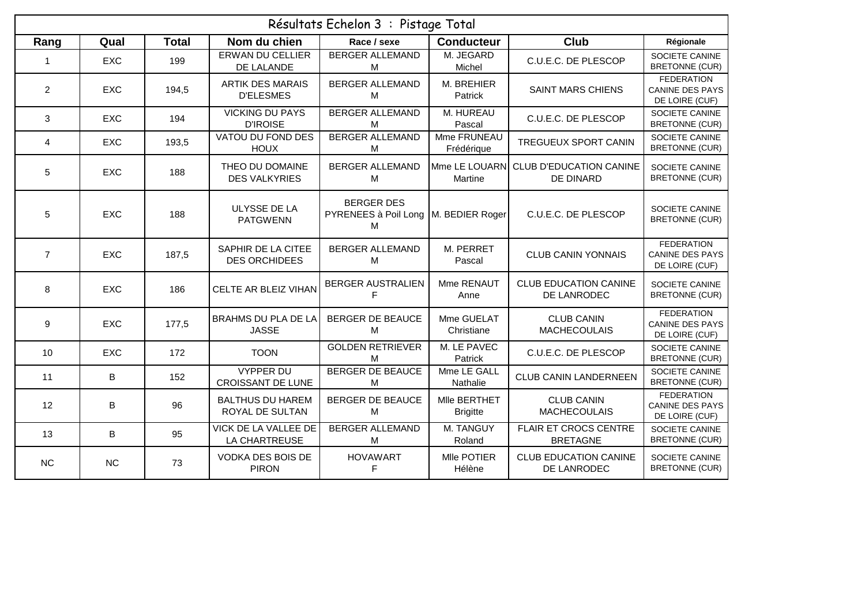| Résultats Echelon 3 : Pistage Total |            |              |                                              |                                                                  |                                  |                                                    |                                                               |  |  |  |  |
|-------------------------------------|------------|--------------|----------------------------------------------|------------------------------------------------------------------|----------------------------------|----------------------------------------------------|---------------------------------------------------------------|--|--|--|--|
| Rang                                | Qual       | <b>Total</b> | Nom du chien                                 | Race / sexe                                                      | <b>Conducteur</b>                | Club                                               | Régionale                                                     |  |  |  |  |
| $\mathbf{1}$                        | <b>EXC</b> | 199          | <b>ERWAN DU CELLIER</b><br>DE LALANDE        | <b>BERGER ALLEMAND</b><br>м                                      | M. JEGARD<br>Michel              | C.U.E.C. DE PLESCOP                                | SOCIETE CANINE<br><b>BRETONNE (CUR)</b>                       |  |  |  |  |
| $\overline{2}$                      | EXC        | 194,5        | <b>ARTIK DES MARAIS</b><br><b>D'ELESMES</b>  | <b>BERGER ALLEMAND</b><br>м                                      | M. BREHIER<br>Patrick            | <b>SAINT MARS CHIENS</b>                           | <b>FEDERATION</b><br><b>CANINE DES PAYS</b><br>DE LOIRE (CUF) |  |  |  |  |
| 3                                   | <b>EXC</b> | 194          | <b>VICKING DU PAYS</b><br><b>D'IROISE</b>    | <b>BERGER ALLEMAND</b><br>M                                      | M. HUREAU<br>Pascal              | C.U.E.C. DE PLESCOP                                | SOCIETE CANINE<br><b>BRETONNE (CUR)</b>                       |  |  |  |  |
| $\overline{4}$                      | <b>EXC</b> | 193,5        | <b>VATOU DU FOND DES</b><br><b>HOUX</b>      | <b>BERGER ALLEMAND</b><br>M                                      | <b>Mme FRUNEAU</b><br>Frédérique | TREGUEUX SPORT CANIN                               | SOCIETE CANINE<br><b>BRETONNE (CUR)</b>                       |  |  |  |  |
| 5                                   | EXC        | 188          | THEO DU DOMAINE<br><b>DES VALKYRIES</b>      | <b>BERGER ALLEMAND</b><br>M                                      | Martine                          | Mme LE LOUARN CLUB D'EDUCATION CANINE<br>DE DINARD | SOCIETE CANINE<br><b>BRETONNE (CUR)</b>                       |  |  |  |  |
| 5                                   | <b>EXC</b> | 188          | <b>ULYSSE DE LA</b><br><b>PATGWENN</b>       | <b>BERGER DES</b><br>PYRENEES à Poil Long   M. BEDIER Roger<br>М |                                  | C.U.E.C. DE PLESCOP                                | SOCIETE CANINE<br><b>BRETONNE (CUR)</b>                       |  |  |  |  |
| $\overline{7}$                      | <b>EXC</b> | 187,5        | SAPHIR DE LA CITEE<br><b>DES ORCHIDEES</b>   | <b>BERGER ALLEMAND</b><br>M                                      | M. PERRET<br>Pascal              | <b>CLUB CANIN YONNAIS</b>                          | <b>FEDERATION</b><br><b>CANINE DES PAYS</b><br>DE LOIRE (CUF) |  |  |  |  |
| 8                                   | <b>EXC</b> | 186          | CELTE AR BLEIZ VIHAN                         | <b>BERGER AUSTRALIEN</b><br>F                                    | Mme RENAUT<br>Anne               | <b>CLUB EDUCATION CANINE</b><br>DE LANRODEC        | SOCIETE CANINE<br><b>BRETONNE (CUR)</b>                       |  |  |  |  |
| 9                                   | <b>EXC</b> | 177,5        | <b>BRAHMS DU PLA DE LA</b><br><b>JASSE</b>   | <b>BERGER DE BEAUCE</b><br>М                                     | Mme GUELAT<br>Christiane         | <b>CLUB CANIN</b><br><b>MACHECOULAIS</b>           | <b>FEDERATION</b><br><b>CANINE DES PAYS</b><br>DE LOIRE (CUF) |  |  |  |  |
| 10                                  | <b>EXC</b> | 172          | <b>TOON</b>                                  | <b>GOLDEN RETRIEVER</b><br>M                                     | M. LE PAVEC<br>Patrick           | C.U.E.C. DE PLESCOP                                | SOCIETE CANINE<br><b>BRETONNE (CUR)</b>                       |  |  |  |  |
| 11                                  | B          | 152          | <b>VYPPER DU</b><br><b>CROISSANT DE LUNE</b> | <b>BERGER DE BEAUCE</b><br>M                                     | Mme LE GALL<br>Nathalie          | <b>CLUB CANIN LANDERNEEN</b>                       | SOCIETE CANINE<br><b>BRETONNE (CUR)</b>                       |  |  |  |  |
| 12                                  | B          | 96           | <b>BALTHUS DU HAREM</b><br>ROYAL DE SULTAN   | <b>BERGER DE BEAUCE</b><br>M                                     | Mlle BERTHET<br><b>Brigitte</b>  | <b>CLUB CANIN</b><br><b>MACHECOULAIS</b>           | <b>FEDERATION</b><br>CANINE DES PAYS<br>DE LOIRE (CUF)        |  |  |  |  |
| 13                                  | B          | 95           | <b>VICK DE LA VALLEE DE</b><br>LA CHARTREUSE | <b>BERGER ALLEMAND</b><br>M                                      | M. TANGUY<br>Roland              | FLAIR ET CROCS CENTRE<br><b>BRETAGNE</b>           | SOCIETE CANINE<br><b>BRETONNE (CUR)</b>                       |  |  |  |  |
| <b>NC</b>                           | <b>NC</b>  | 73           | VODKA DES BOIS DE<br><b>PIRON</b>            | <b>HOVAWART</b><br>F                                             | Mlle POTIER<br>Hélène            | <b>CLUB EDUCATION CANINE</b><br>DE LANRODEC        | SOCIETE CANINE<br><b>BRETONNE (CUR)</b>                       |  |  |  |  |